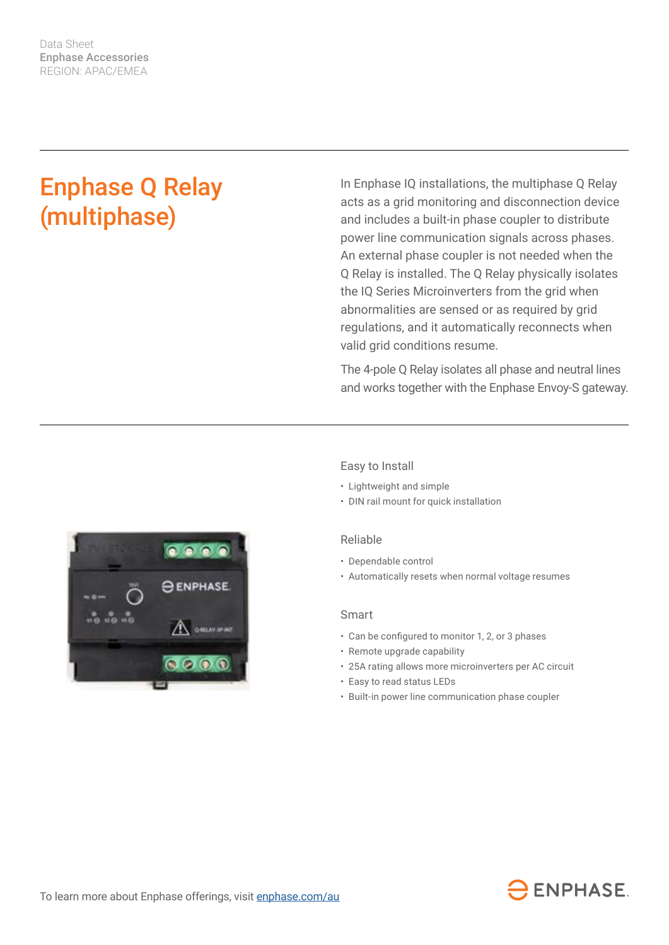Data Sheet Enphase Accessories REGION: APAC/EMEA

## Enphase Q Relay (multiphase)

In Enphase IQ installations, the multiphase Q Relay acts as a grid monitoring and disconnection device and includes a built-in phase coupler to distribute power line communication signals across phases. An external phase coupler is not needed when the Q Relay is installed. The Q Relay physically isolates the IQ Series Microinverters from the grid when abnormalities are sensed or as required by grid regulations, and it automatically reconnects when valid grid conditions resume.

The 4-pole Q Relay isolates all phase and neutral lines and works together with the Enphase Envoy-S gateway.

Easy to Install

- Lightweight and simple
- DIN rail mount for quick installation

## Reliable

- Dependable control
- Automatically resets when normal voltage resumes

## Smart

- • Can be configured to monitor 1, 2, or 3 phases
- Remote upgrade capability
- • 25A rating allows more microinverters per AC circuit
- Easy to read status LEDs
- Built-in power line communication phase coupler